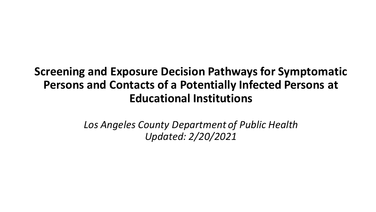# **Screening and Exposure Decision Pathways for Symptomatic Persons and Contacts of a Potentially Infected Persons at Educational Institutions**

*Los Angeles County Department of Public Health Updated: 2/20/2021*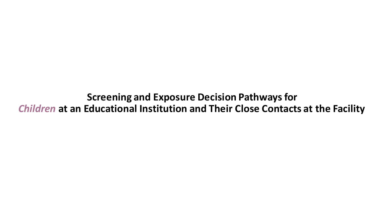**Screening and Exposure Decision Pathways for**  *Children* **at an Educational Institution and Their Close Contacts at the Facility**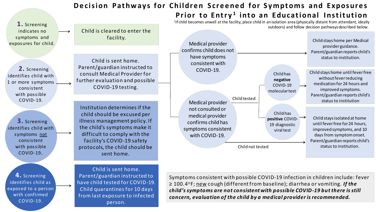#### **Decision Pathways for Children Screened for Symptoms and Exposures Prior to Entry<sup>1</sup> into an Educational Institution**

**1.** Screening indicates no symptoms and exposures for child.

**2.** Screening identifies child with 1 or more symptoms consistent with possible COVID-19.

**3.** Screening identifies child with symptoms not consistent with possible COVID-19.

**4.** Screening identifies child as exposed to a person with confirmed COVID-19.

Child is cleared to enter the facility.

> Child is sent home. Parent/guardian instructed to consult Medical Provider for further evaluation and possible COVID-19 testing.

Institution determines if the child should be excused per illness management policy. If the child's symptoms make it difficult to comply with the facility's COVID-19 safety protocols, the child should be sent home.

Child is sent home. Parent/guardian instructed to have child tested for COVID-19. Child quarantines for 10 days from last exposure to infected person.



<sup>1</sup>If child becomes unwell at the facility, place child in an isolation area (physically distant from attendant, ideally

Symptoms consistent with possible COVID-19 infection in children include: fever ≥ 100.4○F; new cough (different from baseline); diarrhea or vomiting. *If the child's symptoms are not consistent with possible COVID-19 but there is still concern, evaluation of the child by a medical provider is recommended.*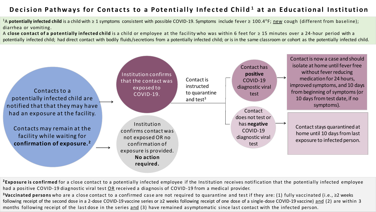#### Decision Pathways for Contacts to a Potentially Infected Child<sup>1</sup> at an Educational Institution

<sup>1</sup>A **potentially infected child** is a child with ≥ 1 symptoms consistent with possible COVID-19. Symptoms include fever  $\geq 100.4^{\circ}$ F; new cough (different from baseline); diarrhea or vomiting.

A **close contact of a potentially infected child** is a child or employee at the facility who was within 6 feet for ≥ 15 minutes over a 24-hour period with a potentially infected child; had direct contact with bodily fluids/secretions from a potentially infected child; or is in the same classroom or cohort as the potentially infected child.



<sup>2</sup> Exposure is confirmed for a close contact to a potentially infected employee if the Institution receives notification that the potentially infected employee had a positive COVID-19 diagnostic viral test OR received a diagnosis of COVID-19 from a medical provider.

**<sup>3</sup>Vaccinated persons** who are a close contact to a confirmed case are not required to quarantine and test if they are: (1) fully vaccinated (i.e., ≥2 weeks following receipt of the second dose in a 2-dose COVID-19 vaccine series or ≥2 weeks following receipt of one dose of a single-dose COVID-19 vaccine) and (2) are within 3 months following receipt of the last dose in the series and (3) have remained asymptomatic since last contact with the infected person.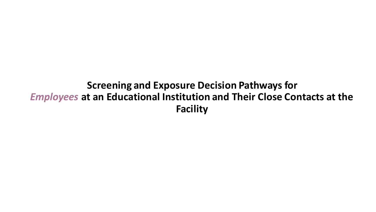## **Screening and Exposure Decision Pathways for**  *Employees* **at an Educational Institution and Their Close Contacts at the Facility**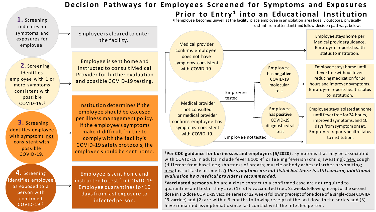#### **Decision Pathways for Employees Screened for Symptoms and Exposures Prior to Entry<sup>1</sup> into an Educational Institution**

<sup>1</sup>If employee becomes unwell at the facility, place employee in an isolation area (ideally outdoors, physically distant from attendant) and follow decision pathways below.



Employee is sent home and instructed to test for COVID-19. Employee quarantines for 10 days from last exposure to infected person.

**4.** Screening identifies employee as exposed to a person with confirmed COVID-19.<sup>2</sup>

**1.** Screening

<sup>1</sup>**Per CDC guidance for businesses and employers (5/2020)** , symptoms that may be associated with COVID-19 in adults include fever ≥ 100.4° or feeling feverish (chills, sweating); new cough (different from baseline); shortness of breath; muscle or body aches; diarrhea or vomiting; new loss of taste or smell. *If the symptoms are not listed but there is still concern, additional evaluation by a medical provider is recommended.*

<sup>2</sup>**Vaccinated persons** who are a close contact to a confirmed case are not required to quarantine and test if they are: (1) fully vaccinated (i.e., ≥2 weeks following receipt of the second dose in a 2-dose COVID-19 vaccine series or ≥2 weeks following receipt of one dose of a single-dose COVID-19 vaccine) and (2) are within 3 months following receipt of the last dose in the series and (3) have remained asymptomatic since last contact with the infected person.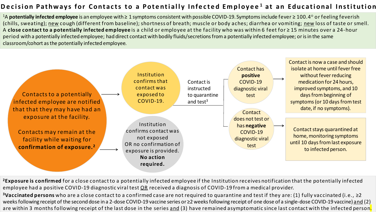#### Decision Pathways for Contacts to a Potentially Infected Employee<sup>1</sup> at an Educational Institution

<sup>1</sup>A **potentially infected employee** is an employee with ≥ 1 symptoms consistent with possible COVID-19. Symptoms include fever ≥ 100.4○ or feeling feverish (chills, sweating); new cough (different from baseline); shortness of breath; muscle or body aches; diarrhea or vomiting; new loss of taste or smell. A **close contact to a potentially infected employee** is a child or employee at the facility who was within 6 feet for ≥ 15 minutes over a 24-hour period with a potentially infected employee; had direct contact with bodily fluids/secretions from a potentially infected employee; or is in the same classroom/cohort as the potentially infected employee.



**<sup>2</sup>Exposure is confirmed** for a close contact to a potentially infected employee if the Institution receives notification that the potentially infected employee had a positive COVID-19 diagnostic viral test OR received a diagnosis of COVID-19 from a medical provider.

**<sup>3</sup>Vaccinated persons** who are a close contact to a confirmed case are not required to quarantine and test if they are: (1) fully vaccinated (i.e., ≥2 weeks following receipt of the second dose in a 2-dose COVID-19 vaccine series or ≥2 weeks following receipt of one dose of a single-dose COVID-19 vaccine) and (2) are within 3 months following receipt of the last dose in the series and (3) have remained asymptomatic since last contact with the infected person.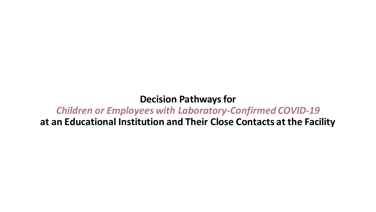## **Decision Pathways for**  *Children or Employees with Laboratory-Confirmed COVID-19* **at an Educational Institution and Their Close Contacts at the Facility**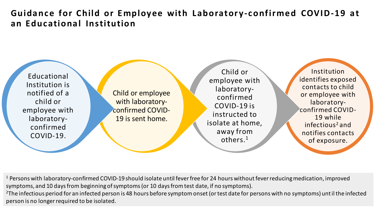## Guidance for Child or Employee with Laboratory-confirmed COVID-19 at **an Educ ational Institution**



Child or employee with laboratoryconfirmed COVID-19 is sent home.

Child or employee with laboratoryconfirmed COVID-19 is instructed to isolate at home, away from others.<sup>1</sup>

Institution identifies exposed contacts to child or employee with laboratoryconfirmed COVID-19 while infectious<sup>2</sup> and notifies contacts of exposure.

<sup>1</sup> Persons with laboratory-confirmed COVID-19 should isolate until fever free for 24 hours without fever reducing medication, improved symptoms, and 10 days from beginning of symptoms (or 10 days from test date, if no symptoms). <sup>2</sup>The infectious period for an infected person is 48 hours before symptom onset (or test date for persons with no symptoms) until the infected person is no longer required to be isolated.